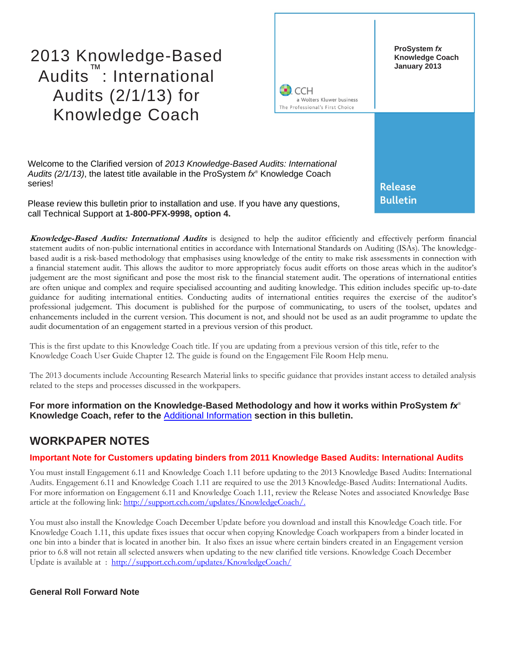2013 Knowledge-Based Audits ™ : International Audits (2/1/13) for Knowledge Coach



Welcome to the Clarified version of *2013 Knowledge-Based Audits: International Audits (2/1/13)*, the latest title available in the ProSystem *fx*® Knowledge Coach series!

Please review this bulletin prior to installation and use. If you have any questions, call Technical Support at **1-800-PFX-9998, option 4.**

**Knowledge-Based Audits: International Audits** is designed to help the auditor efficiently and effectively perform financial statement audits of non-public international entities in accordance with International Standards on Auditing (ISAs). The knowledgebased audit is a risk-based methodology that emphasises using knowledge of the entity to make risk assessments in connection with a financial statement audit. This allows the auditor to more appropriately focus audit efforts on those areas which in the auditor's judgement are the most significant and pose the most risk to the financial statement audit. The operations of international entities are often unique and complex and require specialised accounting and auditing knowledge. This edition includes specific up-to-date guidance for auditing international entities. Conducting audits of international entities requires the exercise of the auditor's professional judgement. This document is published for the purpose of communicating, to users of the toolset, updates and enhancements included in the current version. This document is not, and should not be used as an audit programme to update the audit documentation of an engagement started in a previous version of this product.

This is the first update to this Knowledge Coach title. If you are updating from a previous version of this title, refer to the Knowledge Coach User Guide Chapter 12. The guide is found on the Engagement File Room Help menu.

The 2013 documents include Accounting Research Material links to specific guidance that provides instant access to detailed analysis related to the steps and processes discussed in the workpapers.

**For more information on the Knowledge-Based Methodology and how it works within ProSystem** *fx*® **Knowledge Coach, refer to the** [Additional Information](#page-1-0) **section in this bulletin.**

### **WORKPAPER NOTES**

#### **Important Note for Customers updating binders from 2011 Knowledge Based Audits: International Audits**

You must install Engagement 6.11 and Knowledge Coach 1.11 before updating to the 2013 Knowledge Based Audits: International Audits. Engagement 6.11 and Knowledge Coach 1.11 are required to use the 2013 Knowledge-Based Audits: International Audits. For more information on Engagement 6.11 and Knowledge Coach 1.11, review the Release Notes and associated Knowledge Base article at the following link: [http://support.cch.com/updates/KnowledgeCoach/.](http://support.cch.com/updates/KnowledgeCoach/)

You must also install the Knowledge Coach December Update before you download and install this Knowledge Coach title. For Knowledge Coach 1.11, this update fixes issues that occur when copying Knowledge Coach workpapers from a binder located in one bin into a binder that is located in another bin. It also fixes an issue where certain binders created in an Engagement version prior to 6.8 will not retain all selected answers when updating to the new clarified title versions. Knowledge Coach December Update is available at :<http://support.cch.com/updates/KnowledgeCoach/>

#### **General Roll Forward Note**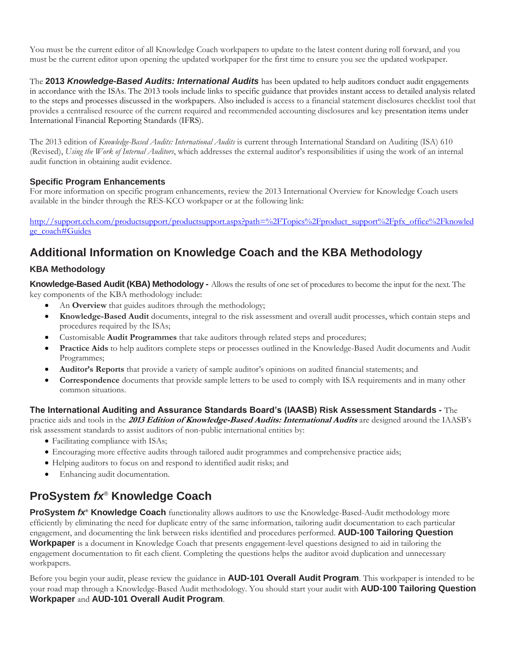You must be the current editor of all Knowledge Coach workpapers to update to the latest content during roll forward, and you must be the current editor upon opening the updated workpaper for the first time to ensure you see the updated workpaper.

The **2013** *Knowledge-Based Audits: International Audits* has been updated to help auditors conduct audit engagements in accordance with the ISAs. The 2013 tools include links to specific guidance that provides instant access to detailed analysis related to the steps and processes discussed in the workpapers. Also included is access to a financial statement disclosures checklist tool that provides a centralised resource of the current required and recommended accounting disclosures and key presentation items under International Financial Reporting Standards (IFRS).

The 2013 edition of *Knowledge-Based Audits: International Audits* is current through International Standard on Auditing (ISA) 610 (Revised), *Using the Work of Internal Auditors*, which addresses the external auditor's responsibilities if using the work of an internal audit function in obtaining audit evidence.

#### **Specific Program Enhancements**

For more information on specific program enhancements, review the 2013 International Overview for Knowledge Coach users available in the binder through the RES-KCO workpaper or at the following link:

[http://support.cch.com/productsupport/productsupport.aspx?path=%2FTopics%2Fproduct\\_support%2Fpfx\\_office%2Fknowled](http://support.cch.com/productsupport/productsupport.aspx?path=%2FTopics%2Fproduct_support%2Fpfx_office%2Fknowledge_coach#Guides) [ge\\_coach#Guides](http://support.cch.com/productsupport/productsupport.aspx?path=%2FTopics%2Fproduct_support%2Fpfx_office%2Fknowledge_coach#Guides)

# <span id="page-1-0"></span>**Additional Information on Knowledge Coach and the KBA Methodology**

### **KBA Methodology**

**Knowledge-Based Audit (KBA) Methodology -** Allows the results of one set of procedures to become the input for the next. The key components of the KBA methodology include:

- An **Overview** that guides auditors through the methodology;
- **Knowledge-Based Audit** documents, integral to the risk assessment and overall audit processes, which contain steps and procedures required by the ISAs;
- Customisable **Audit Programmes** that take auditors through related steps and procedures;
- **Practice Aids** to help auditors complete steps or processes outlined in the Knowledge-Based Audit documents and Audit Programmes;
- **Auditor's Reports** that provide a variety of sample auditor's opinions on audited financial statements; and
- **Correspondence** documents that provide sample letters to be used to comply with ISA requirements and in many other common situations.

**The International Auditing and Assurance Standards Board's (IAASB) Risk Assessment Standards -** The practice aids and tools in the **2013 Edition of Knowledge-Based Audits: International Audits** are designed around the IAASB's risk assessment standards to assist auditors of non-public international entities by:

- Facilitating compliance with ISAs;
- Encouraging more effective audits through tailored audit programmes and comprehensive practice aids;
- Helping auditors to focus on and respond to identified audit risks; and
- Enhancing audit documentation.

# **ProSystem** *fx*® **Knowledge Coach**

**ProSystem** *fx***® Knowledge Coach** functionality allows auditors to use the Knowledge-Based-Audit methodology more efficiently by eliminating the need for duplicate entry of the same information, tailoring audit documentation to each particular engagement, and documenting the link between risks identified and procedures performed. **AUD-100 Tailoring Question Workpaper** is a document in Knowledge Coach that presents engagement-level questions designed to aid in tailoring the engagement documentation to fit each client. Completing the questions helps the auditor avoid duplication and unnecessary workpapers.

Before you begin your audit, please review the guidance in **AUD-101 Overall Audit Program**. This workpaper is intended to be your road map through a Knowledge-Based Audit methodology. You should start your audit with **AUD-100 Tailoring Question Workpaper** and **AUD-101 Overall Audit Program**.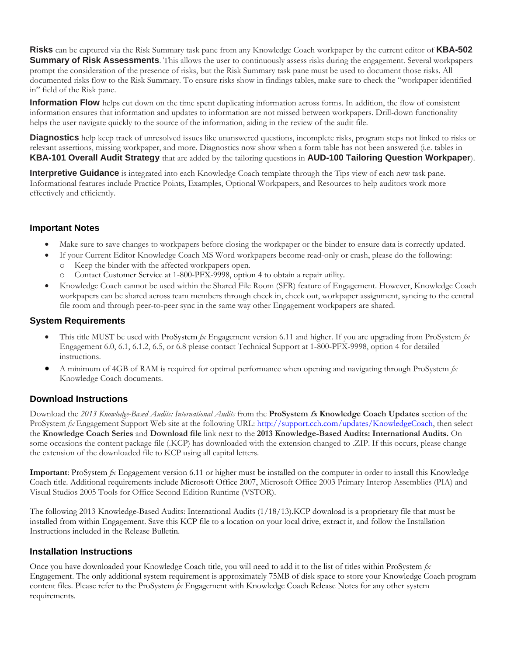**Risks** can be captured via the Risk Summary task pane from any Knowledge Coach workpaper by the current editor of **KBA-502 Summary of Risk Assessments**. This allows the user to continuously assess risks during the engagement. Several workpapers prompt the consideration of the presence of risks, but the Risk Summary task pane must be used to document those risks. All documented risks flow to the Risk Summary. To ensure risks show in findings tables, make sure to check the "workpaper identified in" field of the Risk pane.

**Information Flow** helps cut down on the time spent duplicating information across forms. In addition, the flow of consistent information ensures that information and updates to information are not missed between workpapers. Drill-down functionality helps the user navigate quickly to the source of the information, aiding in the review of the audit file.

**Diagnostics** help keep track of unresolved issues like unanswered questions, incomplete risks, program steps not linked to risks or relevant assertions, missing workpaper, and more. Diagnostics now show when a form table has not been answered (i.e. tables in **KBA-101 Overall Audit Strategy** that are added by the tailoring questions in **AUD-100 Tailoring Question Workpaper**).

**Interpretive Guidance** is integrated into each Knowledge Coach template through the Tips view of each new task pane. Informational features include Practice Points, Examples, Optional Workpapers, and Resources to help auditors work more effectively and efficiently.

#### **Important Notes**

- Make sure to save changes to workpapers before closing the workpaper or the binder to ensure data is correctly updated.
	- If your Current Editor Knowledge Coach MS Word workpapers become read-only or crash, please do the following: o Keep the binder with the affected workpapers open.
		- Contact Customer Service at 1-800-PFX-9998, option 4 to obtain a repair utility.
- Knowledge Coach cannot be used within the Shared File Room (SFR) feature of Engagement. However, Knowledge Coach workpapers can be shared across team members through check in, check out, workpaper assignment, syncing to the central file room and through peer-to-peer sync in the same way other Engagement workpapers are shared.

#### **System Requirements**

- This title MUST be used with ProSystem *fx* Engagement version 6.11 and higher. If you are upgrading from ProSystem *fx*  Engagement 6.0, 6.1, 6.1.2, 6.5, or 6.8 please contact Technical Support at 1-800-PFX-9998, option 4 for detailed instructions.
- A minimum of 4GB of RAM is required for optimal performance when opening and navigating through ProSystem *fx*  Knowledge Coach documents.

#### **Download Instructions**

Download the *2013 Knowledge-Based Audits: International Audits* from the **ProSystem fx Knowledge Coach Updates** section of the ProSystem  $fx$  Engagement Support Web site at the following URL: [http://support.cch.com/updates/KnowledgeCoach,](http://support.cch.com/updates/KnowledgeCoach) then select the **Knowledge Coach Series** and **Download file** link next to the **2013 Knowledge-Based Audits: International Audits.** On some occasions the content package file (.KCP) has downloaded with the extension changed to .ZIP. If this occurs, please change the extension of the downloaded file to KCP using all capital letters.

**Important**: ProSystem *fx* Engagement version 6.11 or higher must be installed on the computer in order to install this Knowledge Coach title. Additional requirements include Microsoft Office 2007, Microsoft Office 2003 Primary Interop Assemblies (PIA) and Visual Studios 2005 Tools for Office Second Edition Runtime (VSTOR).

The following 2013 Knowledge-Based Audits: International Audits (1/18/13).KCP download is a proprietary file that must be installed from within Engagement. Save this KCP file to a location on your local drive, extract it, and follow the Installation Instructions included in the Release Bulletin.

#### **Installation Instructions**

Once you have downloaded your Knowledge Coach title, you will need to add it to the list of titles within ProSystem *fx*  Engagement. The only additional system requirement is approximately 75MB of disk space to store your Knowledge Coach program content files. Please refer to the ProSystem *fx* Engagement with Knowledge Coach Release Notes for any other system requirements.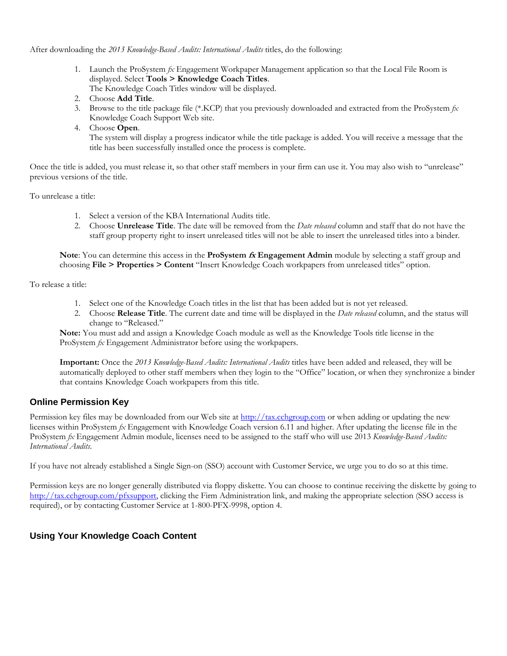After downloading the *2013 Knowledge-Based Audits: International Audits* titles, do the following:

- 1. Launch the ProSystem *fx* Engagement Workpaper Management application so that the Local File Room is displayed. Select **Tools > Knowledge Coach Titles**. The Knowledge Coach Titles window will be displayed.
- 2. Choose **Add Title**.
- 3. Browse to the title package file (\*.KCP) that you previously downloaded and extracted from the ProSystem *fx*  Knowledge Coach Support Web site.
- 4. Choose **Open**.

The system will display a progress indicator while the title package is added. You will receive a message that the title has been successfully installed once the process is complete.

Once the title is added, you must release it, so that other staff members in your firm can use it. You may also wish to "unrelease" previous versions of the title.

To unrelease a title:

- 1. Select a version of the KBA International Audits title.
- 2. Choose **Unrelease Title**. The date will be removed from the *Date released* column and staff that do not have the staff group property right to insert unreleased titles will not be able to insert the unreleased titles into a binder.

**Note**: You can determine this access in the **ProSystem fx Engagement Admin** module by selecting a staff group and choosing **File > Properties > Content** "Insert Knowledge Coach workpapers from unreleased titles" option.

To release a title:

- 1. Select one of the Knowledge Coach titles in the list that has been added but is not yet released.
- 2. Choose **Release Title**. The current date and time will be displayed in the *Date released* column, and the status will change to "Released."

**Note:** You must add and assign a Knowledge Coach module as well as the Knowledge Tools title license in the ProSystem *fx* Engagement Administrator before using the workpapers.

**Important:** Once the *2013 Knowledge-Based Audits: International Audits* titles have been added and released, they will be automatically deployed to other staff members when they login to the "Office" location, or when they synchronize a binder that contains Knowledge Coach workpapers from this title.

#### **Online Permission Key**

Permission key files may be downloaded from our Web site a[t http://tax.cchgroup.com](http://tax.cchgroup.com/) or when adding or updating the new licenses within ProSystem *fx* Engagement with Knowledge Coach version 6.11 and higher. After updating the license file in the ProSystem *fx* Engagement Admin module, licenses need to be assigned to the staff who will use 2013 *Knowledge-Based Audits: International Audits*.

If you have not already established a Single Sign-on (SSO) account with Customer Service, we urge you to do so at this time.

Permission keys are no longer generally distributed via floppy diskette. You can choose to continue receiving the diskette by going to [http://tax.cchgroup.com/pfxsupport,](http://tax.cchgroup.com/pfxsupport) clicking the Firm Administration link, and making the appropriate selection (SSO access is required), or by contacting Customer Service at 1-800-PFX-9998, option 4.

#### **Using Your Knowledge Coach Content**